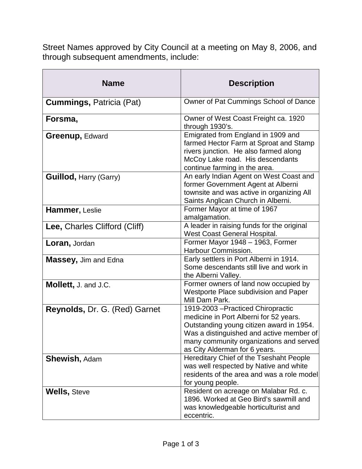Street Names approved by City Council at a meeting on May 8, 2006, and through subsequent amendments, include:

| <b>Name</b>                          | <b>Description</b>                                                                                                                                                                                                                               |
|--------------------------------------|--------------------------------------------------------------------------------------------------------------------------------------------------------------------------------------------------------------------------------------------------|
| <b>Cummings, Patricia (Pat)</b>      | Owner of Pat Cummings School of Dance                                                                                                                                                                                                            |
| Forsma,                              | Owner of West Coast Freight ca. 1920<br>through 1930's.                                                                                                                                                                                          |
| <b>Greenup, Edward</b>               | Emigrated from England in 1909 and<br>farmed Hector Farm at Sproat and Stamp<br>rivers junction. He also farmed along<br>McCoy Lake road. His descendants<br>continue farming in the area.                                                       |
| <b>Guillod, Harry (Garry)</b>        | An early Indian Agent on West Coast and<br>former Government Agent at Alberni<br>townsite and was active in organizing All<br>Saints Anglican Church in Alberni.                                                                                 |
| <b>Hammer, Leslie</b>                | Former Mayor at time of 1967<br>amalgamation.                                                                                                                                                                                                    |
| Lee, Charles Clifford (Cliff)        | A leader in raising funds for the original<br>West Coast General Hospital.                                                                                                                                                                       |
| <b>Loran, Jordan</b>                 | Former Mayor 1948 - 1963, Former<br>Harbour Commission.                                                                                                                                                                                          |
| <b>Massey, Jim and Edna</b>          | Early settlers in Port Alberni in 1914.<br>Some descendants still live and work in<br>the Alberni Valley.                                                                                                                                        |
| <b>Mollett, J. and J.C.</b>          | Former owners of land now occupied by<br>Westporte Place subdivision and Paper<br>Mill Dam Park.                                                                                                                                                 |
| <b>Reynolds, Dr. G. (Red) Garnet</b> | 1919-2003 - Practiced Chiropractic<br>medicine in Port Alberni for 52 years.<br>Outstanding young citizen award in 1954.<br>Was a distinguished and active member of<br>many community organizations and served<br>as City Alderman for 6 years. |
| <b>Shewish, Adam</b>                 | Hereditary Chief of the Tseshaht People<br>was well respected by Native and white<br>residents of the area and was a role model<br>for young people.                                                                                             |
| <b>Wells, Steve</b>                  | Resident on acreage on Malabar Rd. c.<br>1896. Worked at Geo Bird's sawmill and<br>was knowledgeable horticulturist and<br>eccentric.                                                                                                            |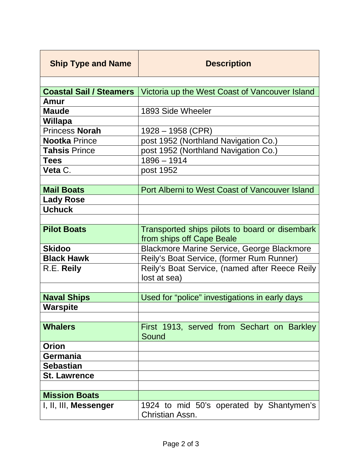| <b>Ship Type and Name</b>      | <b>Description</b>                                             |
|--------------------------------|----------------------------------------------------------------|
|                                |                                                                |
| <b>Coastal Sail / Steamers</b> | Victoria up the West Coast of Vancouver Island                 |
| Amur                           |                                                                |
| <b>Maude</b>                   | 1893 Side Wheeler                                              |
| Willapa                        |                                                                |
| <b>Princess Norah</b>          | $1928 - 1958$ (CPR)                                            |
| <b>Nootka Prince</b>           | post 1952 (Northland Navigation Co.)                           |
| <b>Tahsis Prince</b>           | post 1952 (Northland Navigation Co.)                           |
| <b>Tees</b>                    | $1896 - 1914$                                                  |
| Veta C.                        | post 1952                                                      |
|                                |                                                                |
| <b>Mail Boats</b>              | Port Alberni to West Coast of Vancouver Island                 |
| <b>Lady Rose</b>               |                                                                |
| <b>Uchuck</b>                  |                                                                |
|                                |                                                                |
| <b>Pilot Boats</b>             | Transported ships pilots to board or disembark                 |
|                                | from ships off Cape Beale                                      |
| <b>Skidoo</b>                  | <b>Blackmore Marine Service, George Blackmore</b>              |
| <b>Black Hawk</b>              | Reily's Boat Service, (former Rum Runner)                      |
| R.E. Reily                     | Reily's Boat Service, (named after Reece Reily<br>lost at sea) |
|                                |                                                                |
| <b>Naval Ships</b>             | Used for "police" investigations in early days                 |
| <b>Warspite</b>                |                                                                |
|                                |                                                                |
| <b>Whalers</b>                 | First 1913, served from Sechart on Barkley                     |
|                                | Sound                                                          |
| Orion                          |                                                                |
| Germania                       |                                                                |
| <b>Sebastian</b>               |                                                                |
| <b>St. Lawrence</b>            |                                                                |
|                                |                                                                |
| <b>Mission Boats</b>           |                                                                |
| I, II, III, Messenger          | 1924 to mid 50's operated by Shantymen's<br>Christian Assn.    |